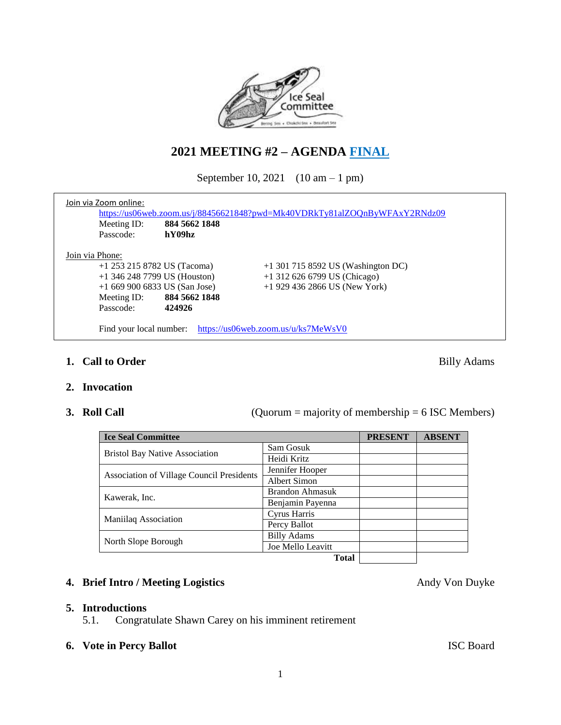

# **2021 MEETING #2 – AGENDA FINAL**

September 10, 2021 (10 am – 1 pm)

|                 | Join via Zoom online:          |                         | https://us06web.zoom.us/j/88456621848?pwd=Mk40VDRkTy81alZOQnByWFAxY2RNdz09 |  |  |  |
|-----------------|--------------------------------|-------------------------|----------------------------------------------------------------------------|--|--|--|
|                 | Meeting ID:<br>Passcode:       | 884 5662 1848<br>hY09hz |                                                                            |  |  |  |
| Join via Phone: |                                |                         |                                                                            |  |  |  |
|                 | +1 253 215 8782 US (Tacoma)    |                         | $+1$ 301 715 8592 US (Washington DC)                                       |  |  |  |
|                 | $+1$ 346 248 7799 US (Houston) |                         | +1 312 626 6799 US (Chicago)                                               |  |  |  |
|                 | $+16699006833$ US (San Jose)   |                         | $+1$ 929 436 2866 US (New York)                                            |  |  |  |
|                 | Meeting ID:                    | 884 5662 1848           |                                                                            |  |  |  |
|                 | Passcode:                      | 424926                  |                                                                            |  |  |  |
|                 | Find your local number:        |                         | https://us06web.zoom.us/u/ks7MeWsV0                                        |  |  |  |

# **1. Call to Order** Billy Adams

- **2. Invocation**
- 

**3. Roll Call** (Quorum = majority of membership = 6 ISC Members)

| <b>Ice Seal Committee</b>                        | <b>PRESENT</b>         | <b>ABSENT</b> |  |
|--------------------------------------------------|------------------------|---------------|--|
| <b>Bristol Bay Native Association</b>            | Sam Gosuk              |               |  |
|                                                  | Heidi Kritz            |               |  |
|                                                  | Jennifer Hooper        |               |  |
| <b>Association of Village Council Presidents</b> | <b>Albert Simon</b>    |               |  |
| Kawerak, Inc.                                    | <b>Brandon Ahmasuk</b> |               |  |
|                                                  | Benjamin Payenna       |               |  |
| Maniilaq Association                             | Cyrus Harris           |               |  |
|                                                  | Percy Ballot           |               |  |
|                                                  | <b>Billy Adams</b>     |               |  |
| North Slope Borough                              | Joe Mello Leavitt      |               |  |
|                                                  | <b>Total</b>           |               |  |

# **4. Brief Intro / Meeting Logistics** Andy Von Duyke

#### **5. Introductions**

5.1. Congratulate Shawn Carey on his imminent retirement

## **6. Vote in Percy Ballot** ISC Board